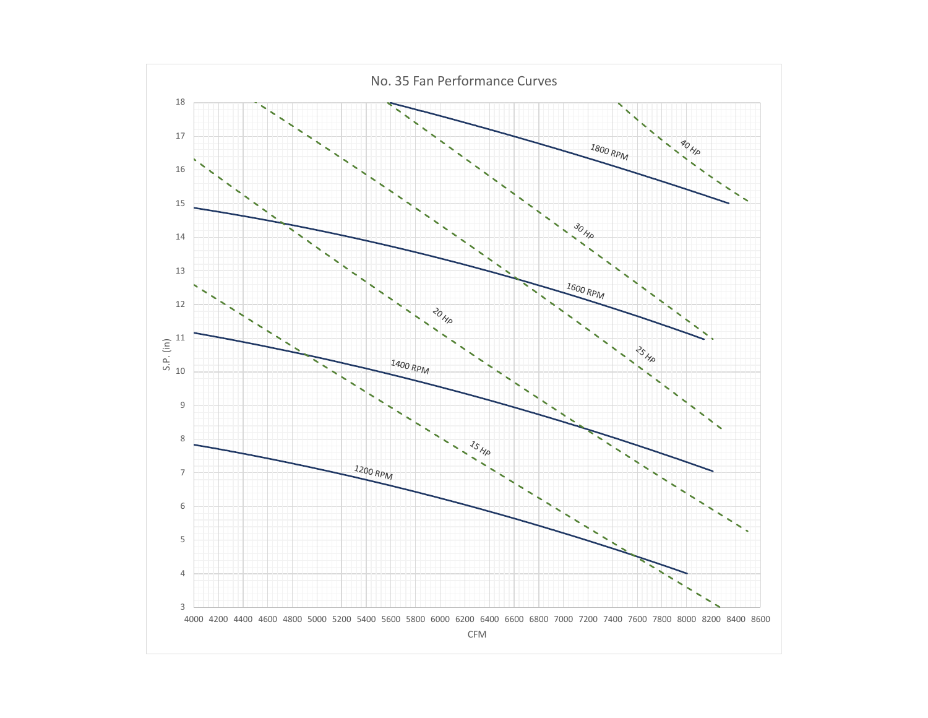